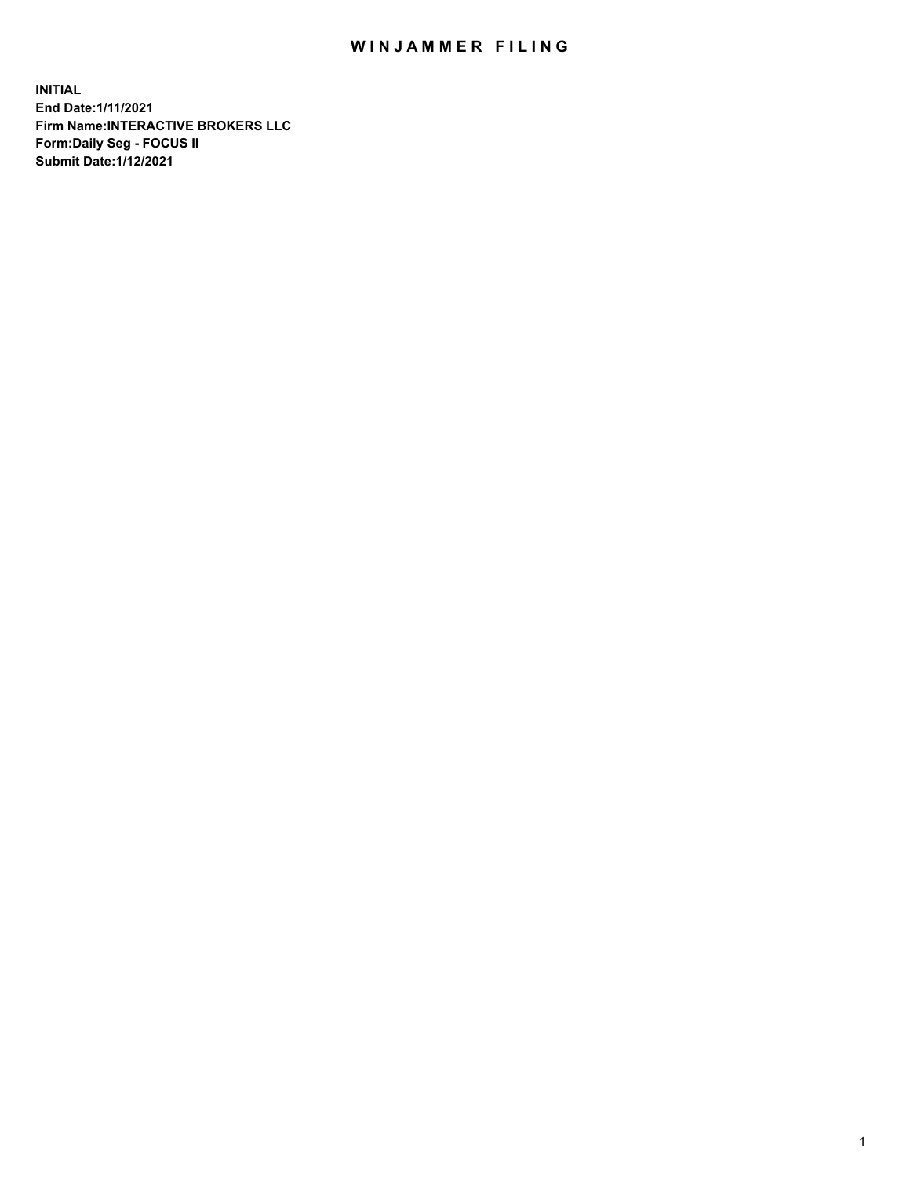## WIN JAMMER FILING

**INITIAL End Date:1/11/2021 Firm Name:INTERACTIVE BROKERS LLC Form:Daily Seg - FOCUS II Submit Date:1/12/2021**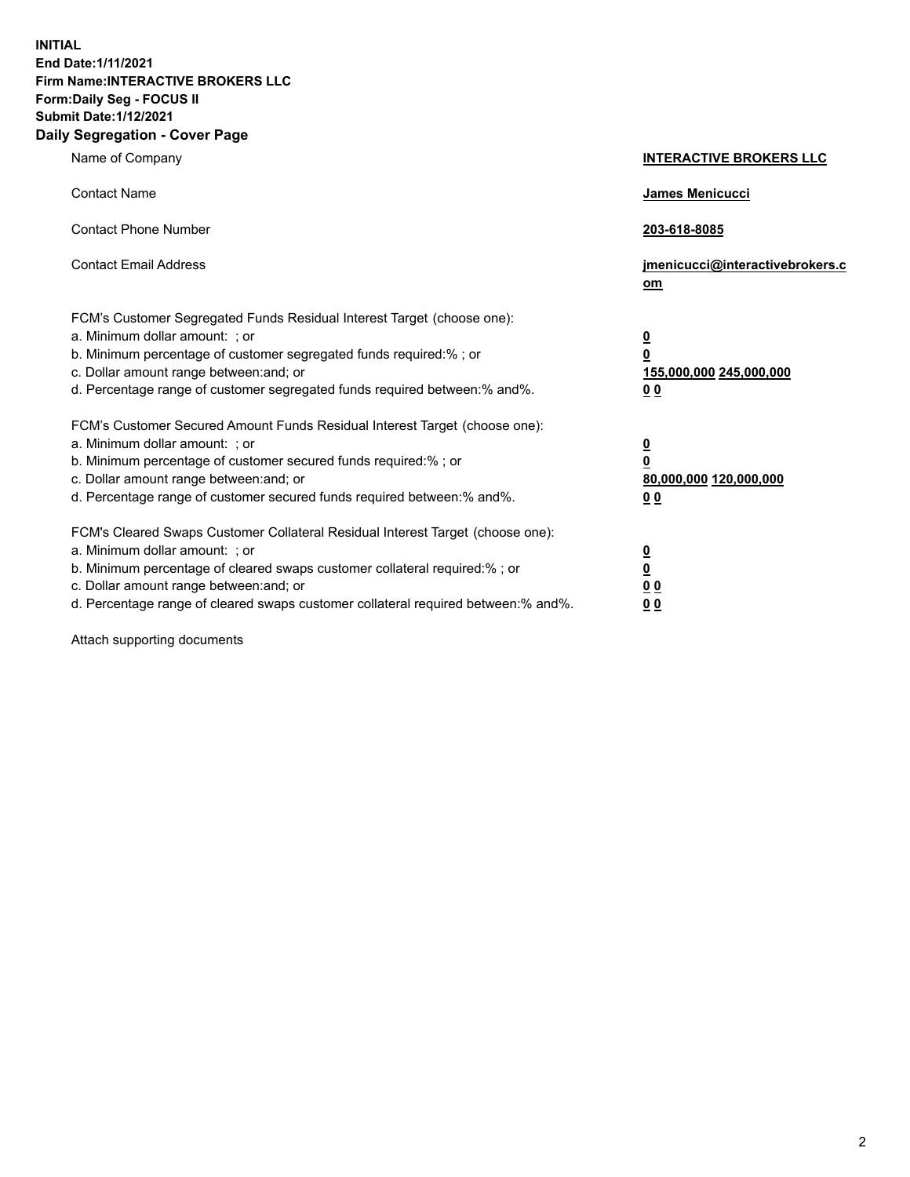**INITIAL End Date:1/11/2021 Firm Name:INTERACTIVE BROKERS LLC Form:Daily Seg - FOCUS II Submit Date:1/12/2021 Daily Segregation - Cover Page**

| Name of Company                                                                                                                                                                                                                                                                                                                | <b>INTERACTIVE BROKERS LLC</b>                                                                  |
|--------------------------------------------------------------------------------------------------------------------------------------------------------------------------------------------------------------------------------------------------------------------------------------------------------------------------------|-------------------------------------------------------------------------------------------------|
| <b>Contact Name</b>                                                                                                                                                                                                                                                                                                            | James Menicucci                                                                                 |
| <b>Contact Phone Number</b>                                                                                                                                                                                                                                                                                                    | 203-618-8085                                                                                    |
| <b>Contact Email Address</b>                                                                                                                                                                                                                                                                                                   | jmenicucci@interactivebrokers.c<br>$om$                                                         |
| FCM's Customer Segregated Funds Residual Interest Target (choose one):<br>a. Minimum dollar amount: ; or<br>b. Minimum percentage of customer segregated funds required:% ; or<br>c. Dollar amount range between: and; or<br>d. Percentage range of customer segregated funds required between:% and%.                         | $\overline{\mathbf{0}}$<br>$\overline{\mathbf{0}}$<br>155,000,000 245,000,000<br>0 <sub>0</sub> |
| FCM's Customer Secured Amount Funds Residual Interest Target (choose one):<br>a. Minimum dollar amount: ; or<br>b. Minimum percentage of customer secured funds required:%; or<br>c. Dollar amount range between: and; or<br>d. Percentage range of customer secured funds required between:% and%.                            | $\overline{\mathbf{0}}$<br>$\overline{\mathbf{0}}$<br>80,000,000 120,000,000<br>0 <sub>0</sub>  |
| FCM's Cleared Swaps Customer Collateral Residual Interest Target (choose one):<br>a. Minimum dollar amount: ; or<br>b. Minimum percentage of cleared swaps customer collateral required:% ; or<br>c. Dollar amount range between: and; or<br>d. Percentage range of cleared swaps customer collateral required between:% and%. | $\overline{\mathbf{0}}$<br><u>0</u><br>0 <sub>0</sub><br>0 <sub>0</sub>                         |

Attach supporting documents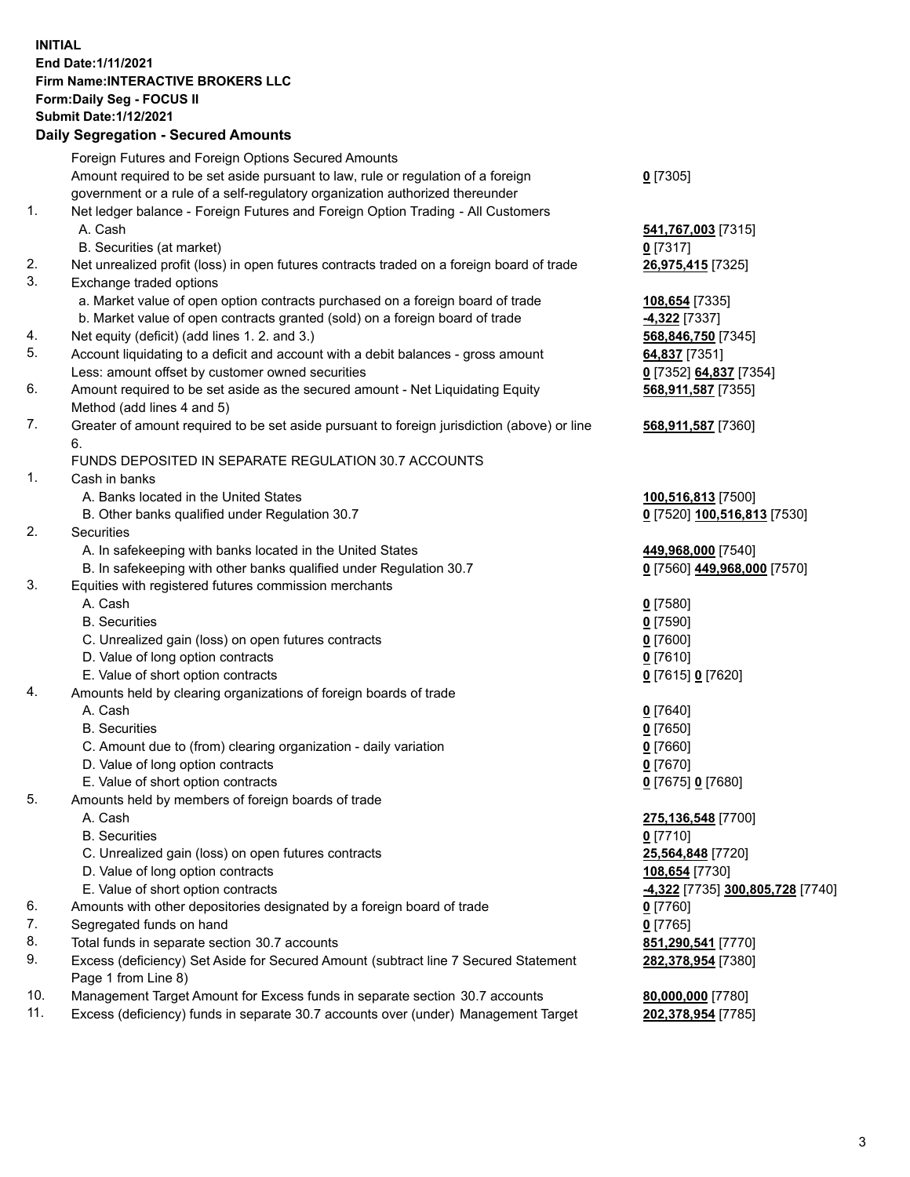## **INITIAL End Date:1/11/2021 Firm Name:INTERACTIVE BROKERS LLC Form:Daily Seg - FOCUS II Submit Date:1/12/2021**

|     | <b>Daily Segregation - Secured Amounts</b>                                                  |                                               |
|-----|---------------------------------------------------------------------------------------------|-----------------------------------------------|
|     | Foreign Futures and Foreign Options Secured Amounts                                         |                                               |
|     | Amount required to be set aside pursuant to law, rule or regulation of a foreign            | $0$ [7305]                                    |
|     | government or a rule of a self-regulatory organization authorized thereunder                |                                               |
| 1.  | Net ledger balance - Foreign Futures and Foreign Option Trading - All Customers             |                                               |
|     | A. Cash                                                                                     | 541,767,003 [7315]                            |
|     | B. Securities (at market)                                                                   | $0$ [7317]                                    |
| 2.  | Net unrealized profit (loss) in open futures contracts traded on a foreign board of trade   | 26,975,415 [7325]                             |
| 3.  | Exchange traded options                                                                     |                                               |
|     | a. Market value of open option contracts purchased on a foreign board of trade              | 108,654 [7335]                                |
|     | b. Market value of open contracts granted (sold) on a foreign board of trade                | <b>4,322</b> [7337]                           |
| 4.  | Net equity (deficit) (add lines 1. 2. and 3.)                                               | 568,846,750 [7345]                            |
| 5.  | Account liquidating to a deficit and account with a debit balances - gross amount           | 64,837 [7351]                                 |
|     | Less: amount offset by customer owned securities                                            | 0 [7352] 64,837 [7354]                        |
| 6.  | Amount required to be set aside as the secured amount - Net Liquidating Equity              | 568,911,587 [7355]                            |
|     | Method (add lines 4 and 5)                                                                  |                                               |
| 7.  | Greater of amount required to be set aside pursuant to foreign jurisdiction (above) or line | 568,911,587 [7360]                            |
|     | 6.                                                                                          |                                               |
|     | FUNDS DEPOSITED IN SEPARATE REGULATION 30.7 ACCOUNTS                                        |                                               |
| 1.  | Cash in banks                                                                               |                                               |
|     | A. Banks located in the United States                                                       | 100,516,813 [7500]                            |
|     | B. Other banks qualified under Regulation 30.7                                              | 0 [7520] 100,516,813 [7530]                   |
| 2.  | Securities                                                                                  |                                               |
|     | A. In safekeeping with banks located in the United States                                   | 449,968,000 [7540]                            |
|     | B. In safekeeping with other banks qualified under Regulation 30.7                          | 0 [7560] 449,968,000 [7570]                   |
| 3.  | Equities with registered futures commission merchants                                       |                                               |
|     | A. Cash                                                                                     | $0$ [7580]                                    |
|     | <b>B.</b> Securities                                                                        | $0$ [7590]                                    |
|     | C. Unrealized gain (loss) on open futures contracts                                         | $0$ [7600]                                    |
|     | D. Value of long option contracts<br>E. Value of short option contracts                     | $0$ [7610]                                    |
| 4.  | Amounts held by clearing organizations of foreign boards of trade                           | 0 [7615] 0 [7620]                             |
|     | A. Cash                                                                                     |                                               |
|     | <b>B.</b> Securities                                                                        | $0$ [7640]<br>$0$ [7650]                      |
|     | C. Amount due to (from) clearing organization - daily variation                             | $0$ [7660]                                    |
|     | D. Value of long option contracts                                                           | $0$ [7670]                                    |
|     | E. Value of short option contracts                                                          | 0 [7675] 0 [7680]                             |
| 5.  | Amounts held by members of foreign boards of trade                                          |                                               |
|     | A. Cash                                                                                     | 275,136,548 [7700]                            |
|     | <b>B.</b> Securities                                                                        | $0$ [7710]                                    |
|     | C. Unrealized gain (loss) on open futures contracts                                         | 25,564,848 [7720]                             |
|     | D. Value of long option contracts                                                           | 108,654 [7730]                                |
|     | E. Value of short option contracts                                                          | <mark>-4,322</mark> [7735] 300,805,728 [7740] |
| 6.  | Amounts with other depositories designated by a foreign board of trade                      | $0$ [7760]                                    |
| 7.  | Segregated funds on hand                                                                    | $0$ [7765]                                    |
| 8.  | Total funds in separate section 30.7 accounts                                               | 851,290,541 [7770]                            |
| 9.  | Excess (deficiency) Set Aside for Secured Amount (subtract line 7 Secured Statement         | 282,378,954 [7380]                            |
|     | Page 1 from Line 8)                                                                         |                                               |
| 10. | Management Target Amount for Excess funds in separate section 30.7 accounts                 | 80,000,000 [7780]                             |
| 11. | Excess (deficiency) funds in separate 30.7 accounts over (under) Management Target          | 202,378,954 [7785]                            |
|     |                                                                                             |                                               |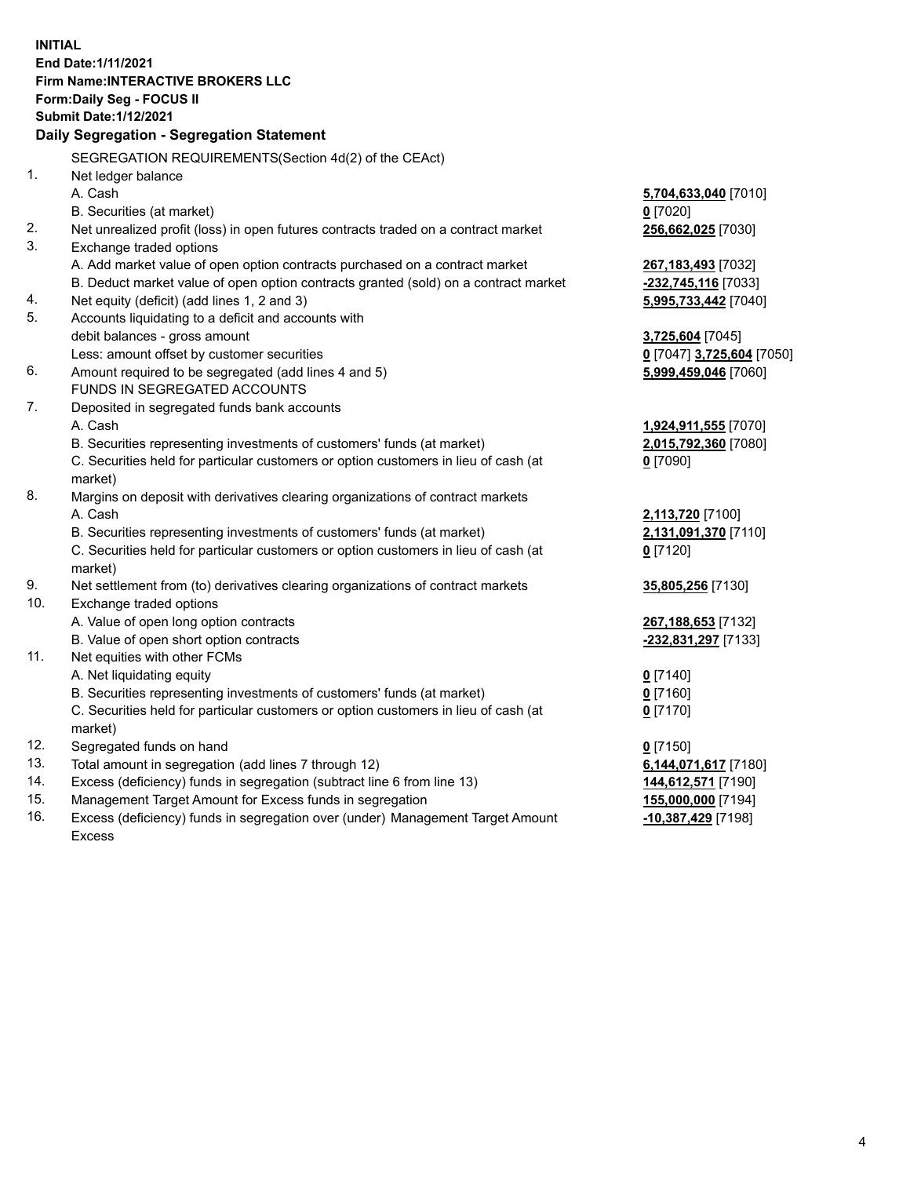**INITIAL End Date:1/11/2021 Firm Name:INTERACTIVE BROKERS LLC Form:Daily Seg - FOCUS II Submit Date:1/12/2021 Daily Segregation - Segregation Statement** SEGREGATION REQUIREMENTS(Section 4d(2) of the CEAct) 1. Net ledger balance A. Cash **5,704,633,040** [7010] B. Securities (at market) **0** [7020] 2. Net unrealized profit (loss) in open futures contracts traded on a contract market **256,662,025** [7030] 3. Exchange traded options A. Add market value of open option contracts purchased on a contract market **267,183,493** [7032] B. Deduct market value of open option contracts granted (sold) on a contract market **-232,745,116** [7033] 4. Net equity (deficit) (add lines 1, 2 and 3) **5,995,733,442** [7040] 5. Accounts liquidating to a deficit and accounts with debit balances - gross amount **3,725,604** [7045] Less: amount offset by customer securities **0** [7047] **3,725,604** [7050] 6. Amount required to be segregated (add lines 4 and 5) **5,999,459,046** [7060] FUNDS IN SEGREGATED ACCOUNTS 7. Deposited in segregated funds bank accounts A. Cash **1,924,911,555** [7070] B. Securities representing investments of customers' funds (at market) **2,015,792,360** [7080] C. Securities held for particular customers or option customers in lieu of cash (at market) **0** [7090] 8. Margins on deposit with derivatives clearing organizations of contract markets A. Cash **2,113,720** [7100] B. Securities representing investments of customers' funds (at market) **2,131,091,370** [7110] C. Securities held for particular customers or option customers in lieu of cash (at market) **0** [7120] 9. Net settlement from (to) derivatives clearing organizations of contract markets **35,805,256** [7130] 10. Exchange traded options A. Value of open long option contracts **267,188,653** [7132] B. Value of open short option contracts **-232,831,297** [7133] 11. Net equities with other FCMs A. Net liquidating equity **0** [7140] B. Securities representing investments of customers' funds (at market) **0** [7160] C. Securities held for particular customers or option customers in lieu of cash (at market) **0** [7170] 12. Segregated funds on hand **0** [7150] 13. Total amount in segregation (add lines 7 through 12) **6,144,071,617** [7180] 14. Excess (deficiency) funds in segregation (subtract line 6 from line 13) **144,612,571** [7190] 15. Management Target Amount for Excess funds in segregation **155,000,000** [7194] 16. Excess (deficiency) funds in segregation over (under) Management Target Amount **-10,387,429** [7198]

Excess